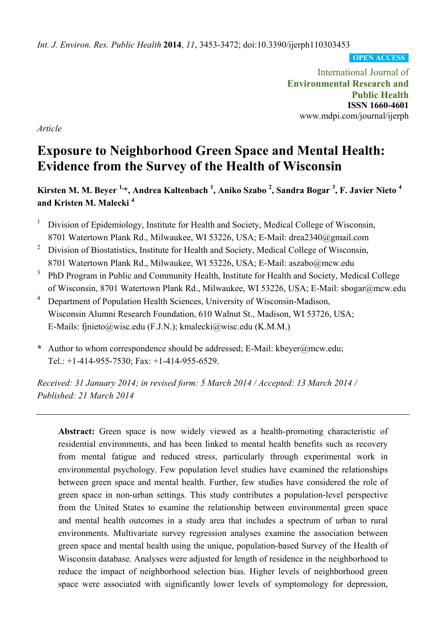*Int. J. Environ. Res. Public Health* **2014**, *11*, 3453-3472; doi:10.3390/ijerph110303453

**OPEN ACCESS**

International Journal of **Environmental Research and Public Health ISSN 1660-4601**  www.mdpi.com/journal/ijerph

*Article* 

# **Exposure to Neighborhood Green Space and Mental Health: Evidence from the Survey of the Health of Wisconsin**

**Kirsten M. M. Beyer 1,\*, Andrea Kaltenbach 1 , Aniko Szabo <sup>2</sup> , Sandra Bogar <sup>3</sup> , F. Javier Nieto 4 and Kristen M. Malecki 4**

- 1 Division of Epidemiology, Institute for Health and Society, Medical College of Wisconsin, 8701 Watertown Plank Rd., Milwaukee, WI 53226, USA; E-Mail: drea2340@gmail.com
- 2 Division of Biostatistics, Institute for Health and Society, Medical College of Wisconsin, 8701 Watertown Plank Rd., Milwaukee, WI 53226, USA; E-Mail: aszabo@mcw.edu
- 3 PhD Program in Public and Community Health, Institute for Health and Society, Medical College of Wisconsin, 8701 Watertown Plank Rd., Milwaukee, WI 53226, USA; E-Mail: sbogar@mcw.edu
- 4 Department of Population Health Sciences, University of Wisconsin-Madison, Wisconsin Alumni Research Foundation, 610 Walnut St., Madison, WI 53726, USA; E-Mails: fjnieto@wisc.edu (F.J.N.); kmalecki@wisc.edu (K.M.M.)
- **\*** Author to whom correspondence should be addressed; E-Mail: kbeyer@mcw.edu; Tel.: +1-414-955-7530; Fax: +1-414-955-6529.

*Received: 31 January 2014; in revised form: 5 March 2014 / Accepted: 13 March 2014 / Published: 21 March 2014* 

**Abstract:** Green space is now widely viewed as a health-promoting characteristic of residential environments, and has been linked to mental health benefits such as recovery from mental fatigue and reduced stress, particularly through experimental work in environmental psychology. Few population level studies have examined the relationships between green space and mental health. Further, few studies have considered the role of green space in non-urban settings. This study contributes a population-level perspective from the United States to examine the relationship between environmental green space and mental health outcomes in a study area that includes a spectrum of urban to rural environments. Multivariate survey regression analyses examine the association between green space and mental health using the unique, population-based Survey of the Health of Wisconsin database. Analyses were adjusted for length of residence in the neighborhood to reduce the impact of neighborhood selection bias. Higher levels of neighborhood green space were associated with significantly lower levels of symptomology for depression,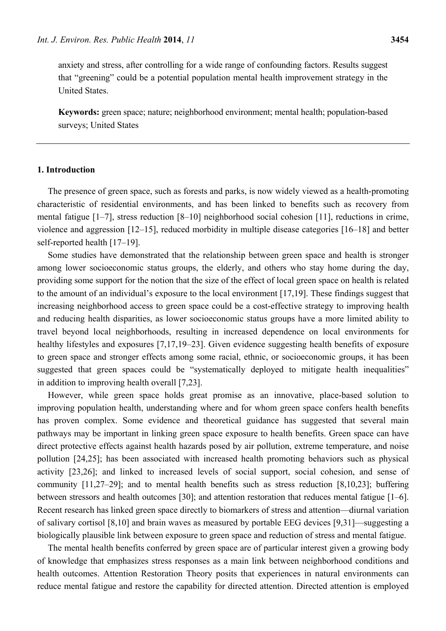**Keywords:** green space; nature; neighborhood environment; mental health; population-based surveys; United States

# **1. Introduction**

United States.

The presence of green space, such as forests and parks, is now widely viewed as a health-promoting characteristic of residential environments, and has been linked to benefits such as recovery from mental fatigue [1–7], stress reduction [8–10] neighborhood social cohesion [11], reductions in crime, violence and aggression [12–15], reduced morbidity in multiple disease categories [16–18] and better self-reported health [17–19].

Some studies have demonstrated that the relationship between green space and health is stronger among lower socioeconomic status groups, the elderly, and others who stay home during the day, providing some support for the notion that the size of the effect of local green space on health is related to the amount of an individual's exposure to the local environment [17,19]. These findings suggest that increasing neighborhood access to green space could be a cost-effective strategy to improving health and reducing health disparities, as lower socioeconomic status groups have a more limited ability to travel beyond local neighborhoods, resulting in increased dependence on local environments for healthy lifestyles and exposures [7,17,19–23]. Given evidence suggesting health benefits of exposure to green space and stronger effects among some racial, ethnic, or socioeconomic groups, it has been suggested that green spaces could be "systematically deployed to mitigate health inequalities" in addition to improving health overall [7,23].

However, while green space holds great promise as an innovative, place-based solution to improving population health, understanding where and for whom green space confers health benefits has proven complex. Some evidence and theoretical guidance has suggested that several main pathways may be important in linking green space exposure to health benefits. Green space can have direct protective effects against health hazards posed by air pollution, extreme temperature, and noise pollution [24,25]; has been associated with increased health promoting behaviors such as physical activity [23,26]; and linked to increased levels of social support, social cohesion, and sense of community [11,27–29]; and to mental health benefits such as stress reduction [8,10,23]; buffering between stressors and health outcomes [30]; and attention restoration that reduces mental fatigue [1–6]. Recent research has linked green space directly to biomarkers of stress and attention—diurnal variation of salivary cortisol [8,10] and brain waves as measured by portable EEG devices [9,31]—suggesting a biologically plausible link between exposure to green space and reduction of stress and mental fatigue.

The mental health benefits conferred by green space are of particular interest given a growing body of knowledge that emphasizes stress responses as a main link between neighborhood conditions and health outcomes. Attention Restoration Theory posits that experiences in natural environments can reduce mental fatigue and restore the capability for directed attention. Directed attention is employed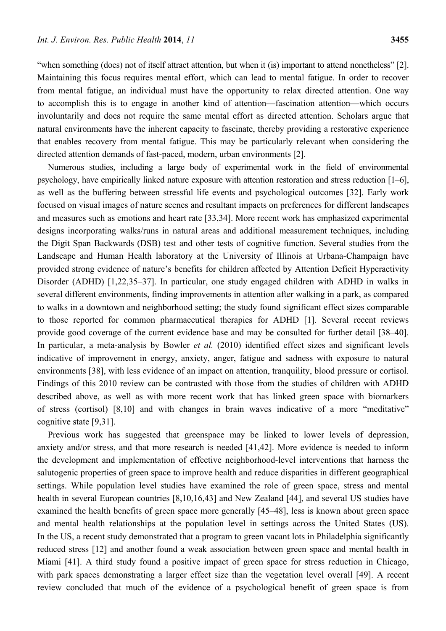"when something (does) not of itself attract attention, but when it (is) important to attend nonetheless" [2]. Maintaining this focus requires mental effort, which can lead to mental fatigue. In order to recover from mental fatigue, an individual must have the opportunity to relax directed attention. One way to accomplish this is to engage in another kind of attention—fascination attention—which occurs involuntarily and does not require the same mental effort as directed attention. Scholars argue that natural environments have the inherent capacity to fascinate, thereby providing a restorative experience that enables recovery from mental fatigue. This may be particularly relevant when considering the directed attention demands of fast-paced, modern, urban environments [2].

Numerous studies, including a large body of experimental work in the field of environmental psychology, have empirically linked nature exposure with attention restoration and stress reduction [1–6], as well as the buffering between stressful life events and psychological outcomes [32]. Early work focused on visual images of nature scenes and resultant impacts on preferences for different landscapes and measures such as emotions and heart rate [33,34]. More recent work has emphasized experimental designs incorporating walks/runs in natural areas and additional measurement techniques, including the Digit Span Backwards (DSB) test and other tests of cognitive function. Several studies from the Landscape and Human Health laboratory at the University of Illinois at Urbana-Champaign have provided strong evidence of nature's benefits for children affected by Attention Deficit Hyperactivity Disorder (ADHD) [1,22,35–37]. In particular, one study engaged children with ADHD in walks in several different environments, finding improvements in attention after walking in a park, as compared to walks in a downtown and neighborhood setting; the study found significant effect sizes comparable to those reported for common pharmaceutical therapies for ADHD [1]. Several recent reviews provide good coverage of the current evidence base and may be consulted for further detail [38–40]. In particular, a meta-analysis by Bowler *et al.* (2010) identified effect sizes and significant levels indicative of improvement in energy, anxiety, anger, fatigue and sadness with exposure to natural environments [38], with less evidence of an impact on attention, tranquility, blood pressure or cortisol. Findings of this 2010 review can be contrasted with those from the studies of children with ADHD described above, as well as with more recent work that has linked green space with biomarkers of stress (cortisol) [8,10] and with changes in brain waves indicative of a more "meditative" cognitive state [9,31].

Previous work has suggested that greenspace may be linked to lower levels of depression, anxiety and/or stress, and that more research is needed [41,42]. More evidence is needed to inform the development and implementation of effective neighborhood-level interventions that harness the salutogenic properties of green space to improve health and reduce disparities in different geographical settings. While population level studies have examined the role of green space, stress and mental health in several European countries [8,10,16,43] and New Zealand [44], and several US studies have examined the health benefits of green space more generally [45–48], less is known about green space and mental health relationships at the population level in settings across the United States (US). In the US, a recent study demonstrated that a program to green vacant lots in Philadelphia significantly reduced stress [12] and another found a weak association between green space and mental health in Miami [41]. A third study found a positive impact of green space for stress reduction in Chicago, with park spaces demonstrating a larger effect size than the vegetation level overall [49]. A recent review concluded that much of the evidence of a psychological benefit of green space is from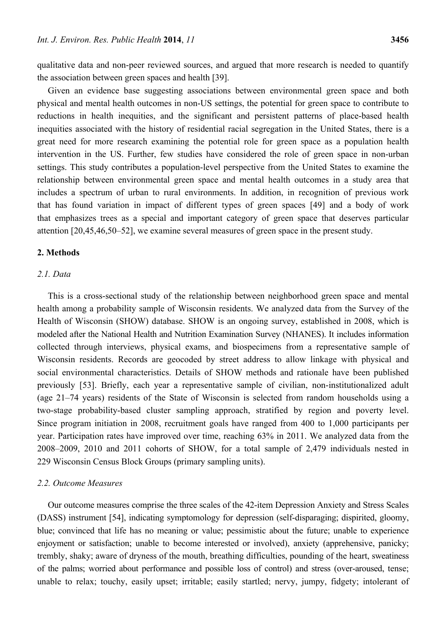qualitative data and non-peer reviewed sources, and argued that more research is needed to quantify the association between green spaces and health [39].

Given an evidence base suggesting associations between environmental green space and both physical and mental health outcomes in non-US settings, the potential for green space to contribute to reductions in health inequities, and the significant and persistent patterns of place-based health inequities associated with the history of residential racial segregation in the United States, there is a great need for more research examining the potential role for green space as a population health intervention in the US. Further, few studies have considered the role of green space in non-urban settings. This study contributes a population-level perspective from the United States to examine the relationship between environmental green space and mental health outcomes in a study area that includes a spectrum of urban to rural environments. In addition, in recognition of previous work that has found variation in impact of different types of green spaces [49] and a body of work that emphasizes trees as a special and important category of green space that deserves particular attention [20,45,46,50–52], we examine several measures of green space in the present study.

## **2. Methods**

## *2.1. Data*

This is a cross-sectional study of the relationship between neighborhood green space and mental health among a probability sample of Wisconsin residents. We analyzed data from the Survey of the Health of Wisconsin (SHOW) database. SHOW is an ongoing survey, established in 2008, which is modeled after the National Health and Nutrition Examination Survey (NHANES). It includes information collected through interviews, physical exams, and biospecimens from a representative sample of Wisconsin residents. Records are geocoded by street address to allow linkage with physical and social environmental characteristics. Details of SHOW methods and rationale have been published previously [53]. Briefly, each year a representative sample of civilian, non-institutionalized adult (age 21–74 years) residents of the State of Wisconsin is selected from random households using a two-stage probability-based cluster sampling approach, stratified by region and poverty level. Since program initiation in 2008, recruitment goals have ranged from 400 to 1,000 participants per year. Participation rates have improved over time, reaching 63% in 2011. We analyzed data from the 2008–2009, 2010 and 2011 cohorts of SHOW, for a total sample of 2,479 individuals nested in 229 Wisconsin Census Block Groups (primary sampling units).

#### *2.2. Outcome Measures*

Our outcome measures comprise the three scales of the 42-item Depression Anxiety and Stress Scales (DASS) instrument [54], indicating symptomology for depression (self-disparaging; dispirited, gloomy, blue; convinced that life has no meaning or value; pessimistic about the future; unable to experience enjoyment or satisfaction; unable to become interested or involved), anxiety (apprehensive, panicky; trembly, shaky; aware of dryness of the mouth, breathing difficulties, pounding of the heart, sweatiness of the palms; worried about performance and possible loss of control) and stress (over-aroused, tense; unable to relax; touchy, easily upset; irritable; easily startled; nervy, jumpy, fidgety; intolerant of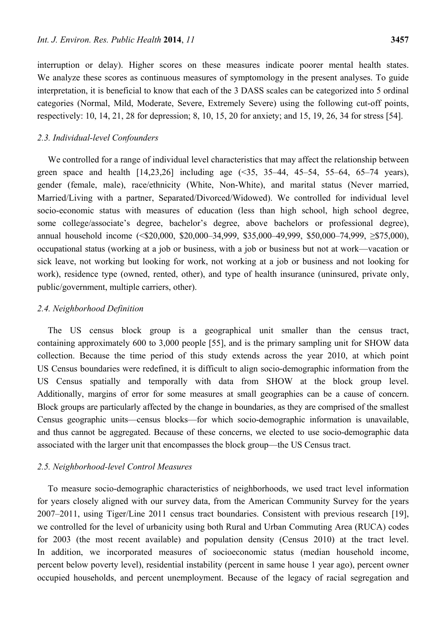interruption or delay). Higher scores on these measures indicate poorer mental health states. We analyze these scores as continuous measures of symptomology in the present analyses. To guide interpretation, it is beneficial to know that each of the 3 DASS scales can be categorized into 5 ordinal categories (Normal, Mild, Moderate, Severe, Extremely Severe) using the following cut-off points, respectively: 10, 14, 21, 28 for depression; 8, 10, 15, 20 for anxiety; and 15, 19, 26, 34 for stress [54].

### *2.3. Individual-level Confounders*

We controlled for a range of individual level characteristics that may affect the relationship between green space and health [14,23,26] including age (<35, 35–44, 45–54, 55–64, 65–74 years), gender (female, male), race/ethnicity (White, Non-White), and marital status (Never married, Married/Living with a partner, Separated/Divorced/Widowed). We controlled for individual level socio-economic status with measures of education (less than high school, high school degree, some college/associate's degree, bachelor's degree, above bachelors or professional degree), annual household income (<\$20,000, \$20,000–34,999, \$35,000–49,999, \$50,000–74,999, ≥\$75,000), occupational status (working at a job or business, with a job or business but not at work—vacation or sick leave, not working but looking for work, not working at a job or business and not looking for work), residence type (owned, rented, other), and type of health insurance (uninsured, private only, public/government, multiple carriers, other).

#### *2.4. Neighborhood Definition*

The US census block group is a geographical unit smaller than the census tract, containing approximately 600 to 3,000 people [55], and is the primary sampling unit for SHOW data collection. Because the time period of this study extends across the year 2010, at which point US Census boundaries were redefined, it is difficult to align socio-demographic information from the US Census spatially and temporally with data from SHOW at the block group level. Additionally, margins of error for some measures at small geographies can be a cause of concern. Block groups are particularly affected by the change in boundaries, as they are comprised of the smallest Census geographic units—census blocks—for which socio-demographic information is unavailable, and thus cannot be aggregated. Because of these concerns, we elected to use socio-demographic data associated with the larger unit that encompasses the block group—the US Census tract.

## *2.5. Neighborhood-level Control Measures*

To measure socio-demographic characteristics of neighborhoods, we used tract level information for years closely aligned with our survey data, from the American Community Survey for the years 2007–2011, using Tiger/Line 2011 census tract boundaries. Consistent with previous research [19], we controlled for the level of urbanicity using both Rural and Urban Commuting Area (RUCA) codes for 2003 (the most recent available) and population density (Census 2010) at the tract level. In addition, we incorporated measures of socioeconomic status (median household income, percent below poverty level), residential instability (percent in same house 1 year ago), percent owner occupied households, and percent unemployment. Because of the legacy of racial segregation and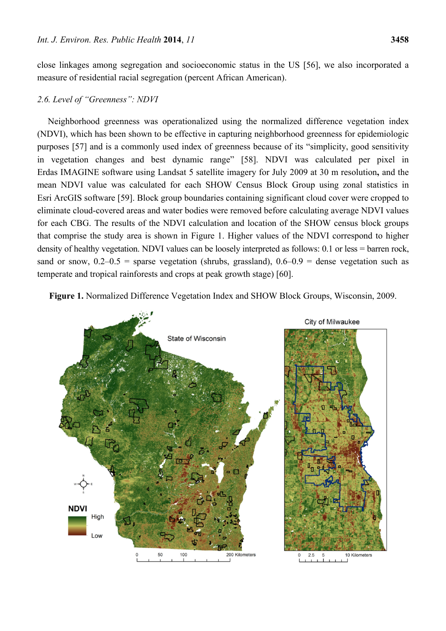close linkages among segregation and socioeconomic status in the US [56], we also incorporated a measure of residential racial segregation (percent African American).

#### *2.6. Level of "Greenness": NDVI*

Neighborhood greenness was operationalized using the normalized difference vegetation index (NDVI), which has been shown to be effective in capturing neighborhood greenness for epidemiologic purposes [57] and is a commonly used index of greenness because of its "simplicity, good sensitivity in vegetation changes and best dynamic range" [58]. NDVI was calculated per pixel in Erdas IMAGINE software using Landsat 5 satellite imagery for July 2009 at 30 m resolution**,** and the mean NDVI value was calculated for each SHOW Census Block Group using zonal statistics in Esri ArcGIS software [59]. Block group boundaries containing significant cloud cover were cropped to eliminate cloud-covered areas and water bodies were removed before calculating average NDVI values for each CBG. The results of the NDVI calculation and location of the SHOW census block groups that comprise the study area is shown in Figure 1. Higher values of the NDVI correspond to higher density of healthy vegetation. NDVI values can be loosely interpreted as follows: 0.1 or less = barren rock, sand or snow,  $0.2-0.5$  = sparse vegetation (shrubs, grassland),  $0.6-0.9$  = dense vegetation such as temperate and tropical rainforests and crops at peak growth stage) [60].



**Figure 1.** Normalized Difference Vegetation Index and SHOW Block Groups, Wisconsin, 2009.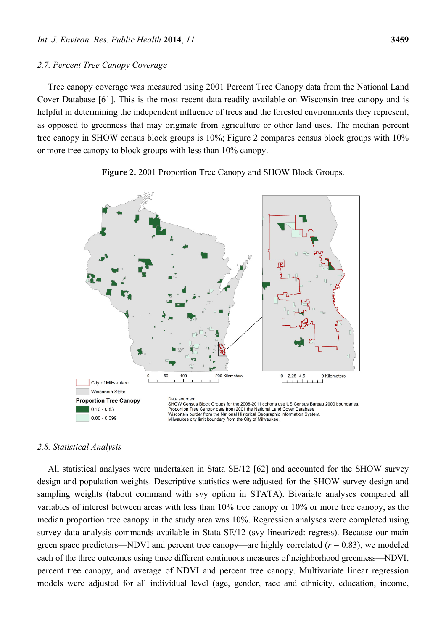#### *2.7. Percent Tree Canopy Coverage*

Tree canopy coverage was measured using 2001 Percent Tree Canopy data from the National Land Cover Database [61]. This is the most recent data readily available on Wisconsin tree canopy and is helpful in determining the independent influence of trees and the forested environments they represent, as opposed to greenness that may originate from agriculture or other land uses. The median percent tree canopy in SHOW census block groups is 10%; Figure 2 compares census block groups with 10% or more tree canopy to block groups with less than 10% canopy.



**Figure 2.** 2001 Proportion Tree Canopy and SHOW Block Groups.

## *2.8. Statistical Analysis*

All statistical analyses were undertaken in Stata SE/12 [62] and accounted for the SHOW survey design and population weights. Descriptive statistics were adjusted for the SHOW survey design and sampling weights (tabout command with svy option in STATA). Bivariate analyses compared all variables of interest between areas with less than 10% tree canopy or 10% or more tree canopy, as the median proportion tree canopy in the study area was 10%. Regression analyses were completed using survey data analysis commands available in Stata SE/12 (svy linearized: regress). Because our main green space predictors—NDVI and percent tree canopy—are highly correlated  $(r = 0.83)$ , we modeled each of the three outcomes using three different continuous measures of neighborhood greenness—NDVI, percent tree canopy, and average of NDVI and percent tree canopy. Multivariate linear regression models were adjusted for all individual level (age, gender, race and ethnicity, education, income,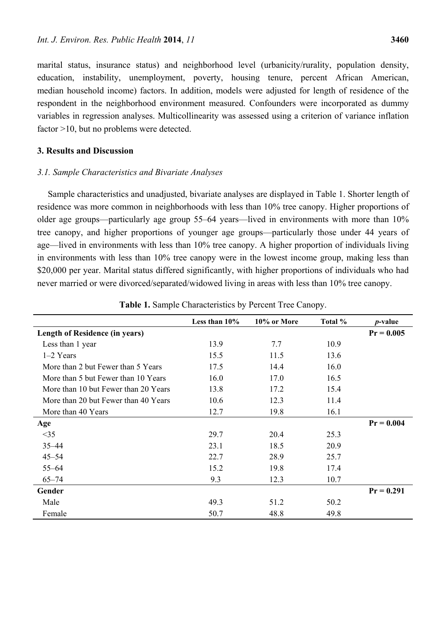marital status, insurance status) and neighborhood level (urbanicity/rurality, population density, education, instability, unemployment, poverty, housing tenure, percent African American, median household income) factors. In addition, models were adjusted for length of residence of the respondent in the neighborhood environment measured. Confounders were incorporated as dummy variables in regression analyses. Multicollinearity was assessed using a criterion of variance inflation factor >10, but no problems were detected.

## **3. Results and Discussion**

# *3.1. Sample Characteristics and Bivariate Analyses*

Sample characteristics and unadjusted, bivariate analyses are displayed in Table 1. Shorter length of residence was more common in neighborhoods with less than 10% tree canopy. Higher proportions of older age groups—particularly age group 55–64 years—lived in environments with more than 10% tree canopy, and higher proportions of younger age groups—particularly those under 44 years of age—lived in environments with less than 10% tree canopy. A higher proportion of individuals living in environments with less than 10% tree canopy were in the lowest income group, making less than \$20,000 per year. Marital status differed significantly, with higher proportions of individuals who had never married or were divorced/separated/widowed living in areas with less than 10% tree canopy.

|                                       | Less than $10\%$ | 10% or More | Total % | <i>p</i> -value |
|---------------------------------------|------------------|-------------|---------|-----------------|
| <b>Length of Residence (in years)</b> |                  |             |         | $Pr = 0.005$    |
| Less than 1 year                      | 13.9             | 7.7         | 10.9    |                 |
| $1-2$ Years                           | 15.5             | 11.5        | 13.6    |                 |
| More than 2 but Fewer than 5 Years    | 17.5             | 14.4        | 16.0    |                 |
| More than 5 but Fewer than 10 Years   | 16.0             | 17.0        | 16.5    |                 |
| More than 10 but Fewer than 20 Years  | 13.8             | 17.2        | 15.4    |                 |
| More than 20 but Fewer than 40 Years  | 10.6             | 12.3        | 11.4    |                 |
| More than 40 Years                    | 12.7             | 19.8        | 16.1    |                 |
| Age                                   |                  |             |         | $Pr = 0.004$    |
| <35                                   | 29.7             | 20.4        | 25.3    |                 |
| $35 - 44$                             | 23.1             | 18.5        | 20.9    |                 |
| $45 - 54$                             | 22.7             | 28.9        | 25.7    |                 |
| $55 - 64$                             | 15.2             | 19.8        | 17.4    |                 |
| $65 - 74$                             | 9.3              | 12.3        | 10.7    |                 |
| Gender                                |                  |             |         | $Pr = 0.291$    |
| Male                                  | 49.3             | 51.2        | 50.2    |                 |
| Female                                | 50.7             | 48.8        | 49.8    |                 |

| Table 1. Sample Characteristics by Percent Tree Canopy. |  |  |  |  |  |
|---------------------------------------------------------|--|--|--|--|--|
|---------------------------------------------------------|--|--|--|--|--|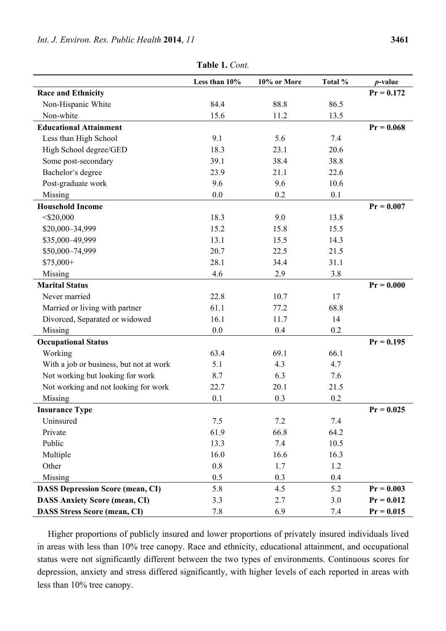|                                         | Less than 10% | 10% or More | Total % | $p$ -value   |
|-----------------------------------------|---------------|-------------|---------|--------------|
| <b>Race and Ethnicity</b>               |               |             |         | $Pr = 0.172$ |
| Non-Hispanic White                      | 84.4          | 88.8        | 86.5    |              |
| Non-white                               | 15.6          | 11.2        | 13.5    |              |
| <b>Educational Attainment</b>           |               |             |         | $Pr = 0.068$ |
| Less than High School                   | 9.1           | 5.6         | 7.4     |              |
| High School degree/GED                  | 18.3          | 23.1        | 20.6    |              |
| Some post-secondary                     | 39.1          | 38.4        | 38.8    |              |
| Bachelor's degree                       | 23.9          | 21.1        | 22.6    |              |
| Post-graduate work                      | 9.6           | 9.6         | 10.6    |              |
| Missing                                 | 0.0           | 0.2         | 0.1     |              |
| <b>Household Income</b>                 |               |             |         | $Pr = 0.007$ |
| $<$ \$20,000                            | 18.3          | 9.0         | 13.8    |              |
| \$20,000-34,999                         | 15.2          | 15.8        | 15.5    |              |
| \$35,000-49,999                         | 13.1          | 15.5        | 14.3    |              |
| \$50,000-74,999                         | 20.7          | 22.5        | 21.5    |              |
| $$75,000+$                              | 28.1          | 34.4        | 31.1    |              |
| Missing                                 | 4.6           | 2.9         | 3.8     |              |
| <b>Marital Status</b>                   |               |             |         | $Pr = 0.000$ |
| Never married                           | 22.8          | 10.7        | 17      |              |
| Married or living with partner          | 61.1          | 77.2        | 68.8    |              |
| Divorced, Separated or widowed          | 16.1          | 11.7        | 14      |              |
| Missing                                 | 0.0           | 0.4         | 0.2     |              |
| <b>Occupational Status</b>              |               |             |         | $Pr = 0.195$ |
| Working                                 | 63.4          | 69.1        | 66.1    |              |
| With a job or business, but not at work | 5.1           | 4.3         | 4.7     |              |
| Not working but looking for work        | 8.7           | 6.3         | 7.6     |              |
| Not working and not looking for work    | 22.7          | 20.1        | 21.5    |              |
| Missing                                 | 0.1           | 0.3         | 0.2     |              |
| <b>Insurance Type</b>                   |               |             |         | $Pr = 0.025$ |
| Uninsured                               | 7.5           | 7.2         | 7.4     |              |
| Private                                 | 61.9          | 66.8        | 64.2    |              |
| Public                                  | 13.3          | 7.4         | 10.5    |              |
| Multiple                                | 16.0          | 16.6        | 16.3    |              |
| Other                                   | 0.8           | 1.7         | 1.2     |              |
| Missing                                 | 0.5           | 0.3         | 0.4     |              |
| <b>DASS Depression Score (mean, CI)</b> | 5.8           | 4.5         | 5.2     | $Pr = 0.003$ |
| <b>DASS Anxiety Score (mean, CI)</b>    | 3.3           | 2.7         | 3.0     | $Pr = 0.012$ |
| <b>DASS Stress Score (mean, CI)</b>     | 7.8           | 6.9         | 7.4     | $Pr = 0.015$ |

**Table 1.** *Cont.* 

Higher proportions of publicly insured and lower proportions of privately insured individuals lived in areas with less than 10% tree canopy. Race and ethnicity, educational attainment, and occupational status were not significantly different between the two types of environments. Continuous scores for depression, anxiety and stress differed significantly, with higher levels of each reported in areas with less than 10% tree canopy.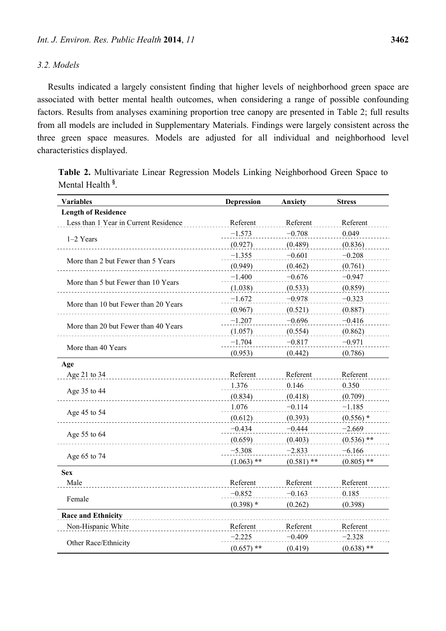## *3.2. Models*

Results indicated a largely consistent finding that higher levels of neighborhood green space are associated with better mental health outcomes, when considering a range of possible confounding factors. Results from analyses examining proportion tree canopy are presented in Table 2; full results from all models are included in Supplementary Materials. Findings were largely consistent across the three green space measures. Models are adjusted for all individual and neighborhood level characteristics displayed.

**Table 2.** Multivariate Linear Regression Models Linking Neighborhood Green Space to Mental Health **§** .

| <b>Variables</b>                      | <b>Depression</b> | <b>Anxiety</b> | <b>Stress</b> |
|---------------------------------------|-------------------|----------------|---------------|
| <b>Length of Residence</b>            |                   |                |               |
| Less than 1 Year in Current Residence | Referent          | Referent       | Referent      |
|                                       | $-1.573$          | $-0.708$       | 0.049         |
| $1-2$ Years                           | (0.927)           | (0.489)        | (0.836)       |
| More than 2 but Fewer than 5 Years    | $-1.355$          | $-0.601$       | $-0.208$      |
|                                       | (0.949)           | (0.462)        | (0.761)       |
| More than 5 but Fewer than 10 Years   | $-1.400$          | $-0.676$       | $-0.947$      |
|                                       | (1.038)           | (0.533)        | (0.859)       |
| More than 10 but Fewer than 20 Years  | $-1.672$          | $-0.978$       | $-0.323$      |
|                                       | (0.967)           | (0.521)        | (0.887)       |
|                                       | $-1.207$          | $-0.696$       | $-0.416$      |
| More than 20 but Fewer than 40 Years  | (1.057)           | (0.554)        | (0.862)       |
|                                       | $-1.704$          | $-0.817$       | $-0.971$      |
| More than 40 Years                    | (0.953)           | (0.442)        | (0.786)       |
| Age                                   |                   |                |               |
| Age 21 to 34                          | Referent          | Referent       | Referent      |
|                                       | 1.376             | 0.146          | 0.350         |
| Age 35 to 44                          | (0.834)           | (0.418)        | (0.709)       |
|                                       | 1.076             | $-0.114$       | $-1.185$      |
| Age 45 to 54                          | (0.612)           | (0.393)        | $(0.556)$ *   |
|                                       | $-0.434$          | $-0.444$       | $-2.669$      |
| Age 55 to 64                          | (0.659)           | (0.403)        | $(0.536)$ **  |
|                                       | $-5.308$          | $-2.833$       | $-6.166$      |
| Age 65 to 74                          | $(1.063)$ **      | $(0.581)$ **   | $(0.805)$ **  |
| <b>Sex</b>                            |                   |                |               |
| Male                                  | Referent          | Referent       | Referent      |
| Female                                | $-0.852$          | $-0.163$       | 0.185         |
|                                       | $(0.398)$ *       | (0.262)        | (0.398)       |
| <b>Race and Ethnicity</b>             |                   |                |               |
| Non-Hispanic White                    | Referent          | Referent       | Referent      |
|                                       | $-2.225$          | $-0.409$       | $-2.328$      |
| Other Race/Ethnicity                  | $(0.657)$ **      | (0.419)        | $(0.638)$ **  |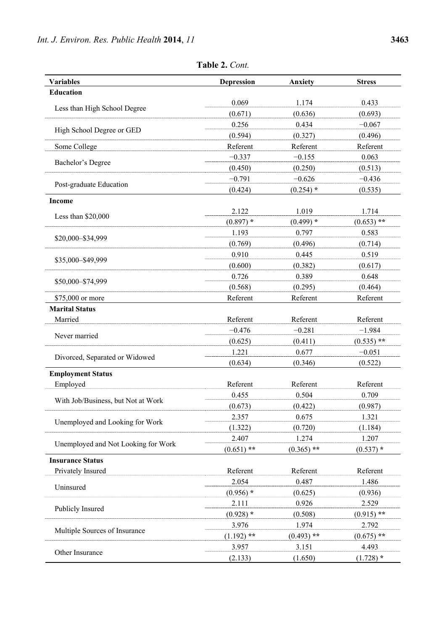| <b>Variables</b>                    | <b>Depression</b> | Anxiety      | <b>Stress</b> |
|-------------------------------------|-------------------|--------------|---------------|
| <b>Education</b>                    |                   |              |               |
|                                     | 0.069             | 1.174        | 0.433         |
| Less than High School Degree        | (0.671)           | (0.636)      | (0.693)       |
|                                     | 0.256             | 0.434        | $-0.067$      |
| High School Degree or GED           | (0.594)           | (0.327)      | (0.496)       |
| Some College                        | Referent          | Referent     | Referent      |
|                                     | $-0.337$          | $-0.155$     | 0.063         |
| Bachelor's Degree                   | (0.450)           | (0.250)      | (0.513)       |
|                                     | $-0.791$          | $-0.626$     | $-0.436$      |
| Post-graduate Education             | (0.424)           | $(0.254)$ *  | (0.535)       |
| <b>Income</b>                       |                   |              |               |
|                                     | 2.122             | 1.019        | 1.714         |
| Less than $$20,000$                 | $(0.897)$ *       | $(0.499)$ *  | $(0.653)$ **  |
|                                     | 1.193             | 0.797        | 0.583         |
| \$20,000-\$34,999                   | (0.769)           | (0.496)      | (0.714)       |
|                                     | 0.910             | 0.445        | 0.519         |
| \$35,000-\$49,999                   | (0.600)           | (0.382)      | (0.617)       |
|                                     | 0.726             | 0.389        | 0.648         |
| \$50,000-\$74,999                   | (0.568)           | (0.295)      | (0.464)       |
| \$75,000 or more                    | Referent          | Referent     | Referent      |
| <b>Marital Status</b>               |                   |              |               |
| Married                             | Referent          | Referent     | Referent      |
|                                     | $-0.476$          | $-0.281$     | $-1.984$      |
| Never married                       | (0.625)           | (0.411)      | $(0.535)$ **  |
|                                     | 1.221             | 0.677        | $-0.051$      |
| Divorced, Separated or Widowed      | (0.634)           | (0.346)      | (0.522)       |
| <b>Employment Status</b>            |                   |              |               |
| Employed                            | Referent          | Referent     | Referent      |
|                                     | 0.455             | 0.504        | 0.709         |
| With Job/Business, but Not at Work  | (0.673)           | (0.422)      | (0.987)       |
|                                     | 2.357             | 0.675        | 1.321         |
| Unemployed and Looking for Work     | (1.322)           | (0.720)      | (1.184)       |
|                                     | 2.407             | 1.274        | 1.207         |
| Unemployed and Not Looking for Work | $(0.651)$ **      | $(0.365)$ ** | $(0.537)$ *   |
| <b>Insurance Status</b>             |                   |              |               |
| Privately Insured                   | Referent          | Referent     | Referent      |
|                                     | 2.054             | 0.487        | 1.486         |
| Uninsured                           | $(0.956)$ *       | (0.625)      | (0.936)       |
|                                     | 2.111             | 0.926        | 2.529         |
| Publicly Insured                    | $(0.928)$ *       | (0.508)      | $(0.915)$ **  |
|                                     | 3.976             | 1.974        | 2.792         |
| Multiple Sources of Insurance       | $(1.192)$ **      | $(0.493)$ ** | $(0.675)$ **  |
|                                     | 3.957             | 3.151        | 4.493         |
| Other Insurance                     | (2.133)           | (1.650)      | $(1.728)$ *   |

**Table 2.** *Cont.*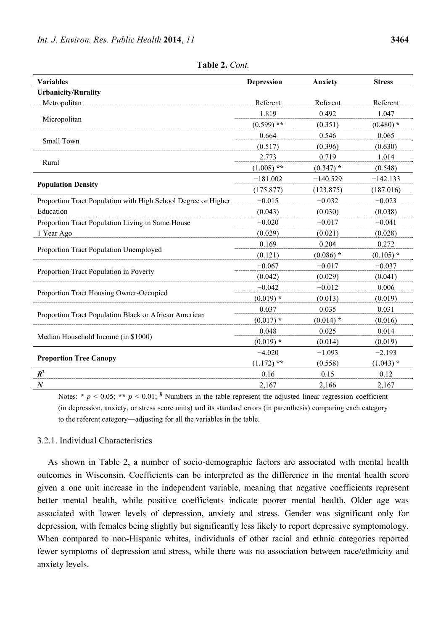| <b>Variables</b>                                              | <b>Depression</b> | <b>Anxiety</b> | <b>Stress</b> |
|---------------------------------------------------------------|-------------------|----------------|---------------|
| <b>Urbanicity/Rurality</b>                                    |                   |                |               |
| Metropolitan                                                  | Referent          | Referent       | Referent      |
|                                                               | 1.819             | 0.492          | 1.047         |
| Micropolitan                                                  | $(0.599)$ **      | (0.351)        | $(0.480)$ *   |
|                                                               | 0.664             | 0.546          | 0.065         |
| Small Town                                                    | (0.517)           | (0.396)        | (0.630)       |
|                                                               | 2.773             | 0.719          | 1.014         |
| Rural                                                         | $(1.008)$ **      | $(0.347)$ *    | (0.548)       |
|                                                               | $-181.002$        | $-140.529$     | $-142.133$    |
| <b>Population Density</b>                                     | (175.877)         | (123.875)      | (187.016)     |
| Proportion Tract Population with High School Degree or Higher | $-0.015$          | $-0.032$       | $-0.023$      |
| Education                                                     | (0.043)           | (0.030)        | (0.038)       |
| Proportion Tract Population Living in Same House              | $-0.020$          | $-0.017$       | $-0.041$      |
| 1 Year Ago                                                    | (0.029)           | (0.021)        | (0.028)       |
|                                                               | 0.169             | 0.204          | 0.272         |
| Proportion Tract Population Unemployed                        | (0.121)           | $(0.086)$ *    | $(0.105)$ *   |
|                                                               | $-0.067$          | $-0.017$       | $-0.037$      |
| Proportion Tract Population in Poverty                        | (0.042)           | (0.029)        | (0.041)       |
|                                                               | $-0.042$          | $-0.012$       | 0.006         |
| Proportion Tract Housing Owner-Occupied                       | $(0.019)$ *       | (0.013)        | (0.019)       |
|                                                               | 0.037             | 0.035          | 0.031         |
| Proportion Tract Population Black or African American         | $(0.017)$ *       | $(0.014)$ *    | (0.016)       |
|                                                               | 0.048             | 0.025          | 0.014         |
| Median Household Income (in \$1000)                           | $(0.019)$ *       | (0.014)        | (0.019)       |
|                                                               | $-4.020$          | $-1.093$       | $-2.193$      |
| <b>Proportion Tree Canopy</b>                                 | $(1.172)$ **      | (0.558)        | $(1.043)$ *   |
| $R^2$                                                         | 0.16              | 0.15           | 0.12          |
| $\boldsymbol{N}$                                              | 2,167             | 2,166          | 2,167         |

**Table 2.** *Cont.*

Notes: \*  $p < 0.05$ ; \*\*  $p < 0.01$ ;  $\frac{1}{2}$  Numbers in the table represent the adjusted linear regression coefficient (in depression, anxiety, or stress score units) and its standard errors (in parenthesis) comparing each category to the referent category—adjusting for all the variables in the table.

# 3.2.1. Individual Characteristics

As shown in Table 2, a number of socio-demographic factors are associated with mental health outcomes in Wisconsin. Coefficients can be interpreted as the difference in the mental health score given a one unit increase in the independent variable, meaning that negative coefficients represent better mental health, while positive coefficients indicate poorer mental health. Older age was associated with lower levels of depression, anxiety and stress. Gender was significant only for depression, with females being slightly but significantly less likely to report depressive symptomology. When compared to non-Hispanic whites, individuals of other racial and ethnic categories reported fewer symptoms of depression and stress, while there was no association between race/ethnicity and anxiety levels.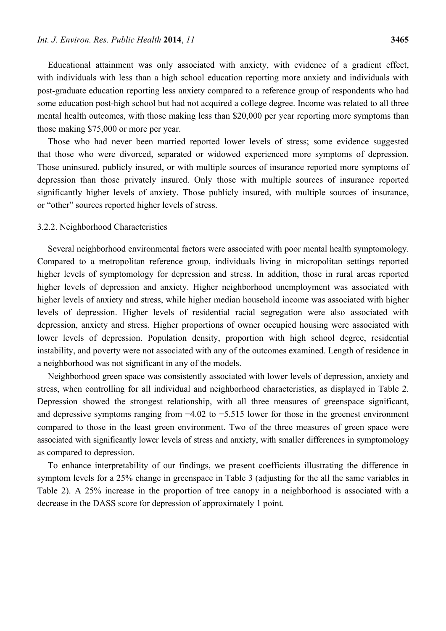Educational attainment was only associated with anxiety, with evidence of a gradient effect, with individuals with less than a high school education reporting more anxiety and individuals with post-graduate education reporting less anxiety compared to a reference group of respondents who had some education post-high school but had not acquired a college degree. Income was related to all three mental health outcomes, with those making less than \$20,000 per year reporting more symptoms than those making \$75,000 or more per year.

Those who had never been married reported lower levels of stress; some evidence suggested that those who were divorced, separated or widowed experienced more symptoms of depression. Those uninsured, publicly insured, or with multiple sources of insurance reported more symptoms of depression than those privately insured. Only those with multiple sources of insurance reported significantly higher levels of anxiety. Those publicly insured, with multiple sources of insurance, or "other" sources reported higher levels of stress.

## 3.2.2. Neighborhood Characteristics

Several neighborhood environmental factors were associated with poor mental health symptomology. Compared to a metropolitan reference group, individuals living in micropolitan settings reported higher levels of symptomology for depression and stress. In addition, those in rural areas reported higher levels of depression and anxiety. Higher neighborhood unemployment was associated with higher levels of anxiety and stress, while higher median household income was associated with higher levels of depression. Higher levels of residential racial segregation were also associated with depression, anxiety and stress. Higher proportions of owner occupied housing were associated with lower levels of depression. Population density, proportion with high school degree, residential instability, and poverty were not associated with any of the outcomes examined. Length of residence in a neighborhood was not significant in any of the models.

Neighborhood green space was consistently associated with lower levels of depression, anxiety and stress, when controlling for all individual and neighborhood characteristics, as displayed in Table 2. Depression showed the strongest relationship, with all three measures of greenspace significant, and depressive symptoms ranging from −4.02 to −5.515 lower for those in the greenest environment compared to those in the least green environment. Two of the three measures of green space were associated with significantly lower levels of stress and anxiety, with smaller differences in symptomology as compared to depression.

To enhance interpretability of our findings, we present coefficients illustrating the difference in symptom levels for a 25% change in greenspace in Table 3 (adjusting for the all the same variables in Table 2). A 25% increase in the proportion of tree canopy in a neighborhood is associated with a decrease in the DASS score for depression of approximately 1 point.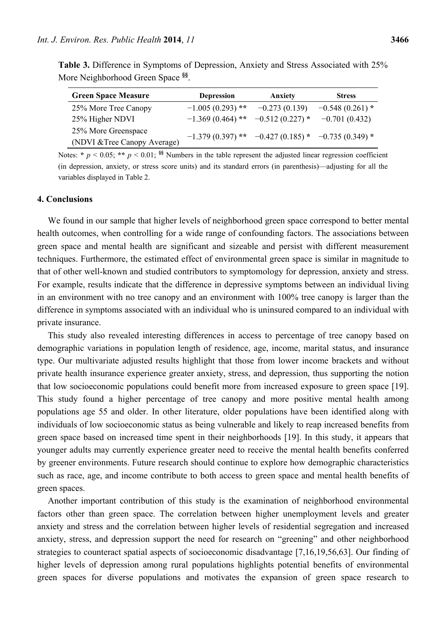|                                               | Table 3. Difference in Symptoms of Depression, Anxiety and Stress Associated with 25% |
|-----------------------------------------------|---------------------------------------------------------------------------------------|
| More Neighborhood Green Space <sup>§§</sup> . |                                                                                       |

| <b>Green Space Measure</b>   | <b>Depression</b>                                      | Anxiety           | <b>Stress</b>     |
|------------------------------|--------------------------------------------------------|-------------------|-------------------|
| 25% More Tree Canopy         | $-1.005(0.293)$ **                                     | $-0.273(0.139)$   | $-0.548(0.261)$ * |
| 25% Higher NDVI              | $-1.369(0.464)$ **                                     | $-0.512(0.227)$ * | $-0.701(0.432)$   |
| 25% More Greenspace          |                                                        |                   |                   |
| (NDVI & Tree Canopy Average) | $-1.379(0.397)$ ** $-0.427(0.185)$ * $-0.735(0.349)$ * |                   |                   |

Notes: \*  $p \le 0.05$ ; \*\*  $p \le 0.01$ ; <sup>§§</sup> Numbers in the table represent the adjusted linear regression coefficient (in depression, anxiety, or stress score units) and its standard errors (in parenthesis)—adjusting for all the variables displayed in Table 2.

## **4. Conclusions**

We found in our sample that higher levels of neighborhood green space correspond to better mental health outcomes, when controlling for a wide range of confounding factors. The associations between green space and mental health are significant and sizeable and persist with different measurement techniques. Furthermore, the estimated effect of environmental green space is similar in magnitude to that of other well-known and studied contributors to symptomology for depression, anxiety and stress. For example, results indicate that the difference in depressive symptoms between an individual living in an environment with no tree canopy and an environment with 100% tree canopy is larger than the difference in symptoms associated with an individual who is uninsured compared to an individual with private insurance.

This study also revealed interesting differences in access to percentage of tree canopy based on demographic variations in population length of residence, age, income, marital status, and insurance type. Our multivariate adjusted results highlight that those from lower income brackets and without private health insurance experience greater anxiety, stress, and depression, thus supporting the notion that low socioeconomic populations could benefit more from increased exposure to green space [19]. This study found a higher percentage of tree canopy and more positive mental health among populations age 55 and older. In other literature, older populations have been identified along with individuals of low socioeconomic status as being vulnerable and likely to reap increased benefits from green space based on increased time spent in their neighborhoods [19]. In this study, it appears that younger adults may currently experience greater need to receive the mental health benefits conferred by greener environments. Future research should continue to explore how demographic characteristics such as race, age, and income contribute to both access to green space and mental health benefits of green spaces.

Another important contribution of this study is the examination of neighborhood environmental factors other than green space. The correlation between higher unemployment levels and greater anxiety and stress and the correlation between higher levels of residential segregation and increased anxiety, stress, and depression support the need for research on "greening" and other neighborhood strategies to counteract spatial aspects of socioeconomic disadvantage [7,16,19,56,63]. Our finding of higher levels of depression among rural populations highlights potential benefits of environmental green spaces for diverse populations and motivates the expansion of green space research to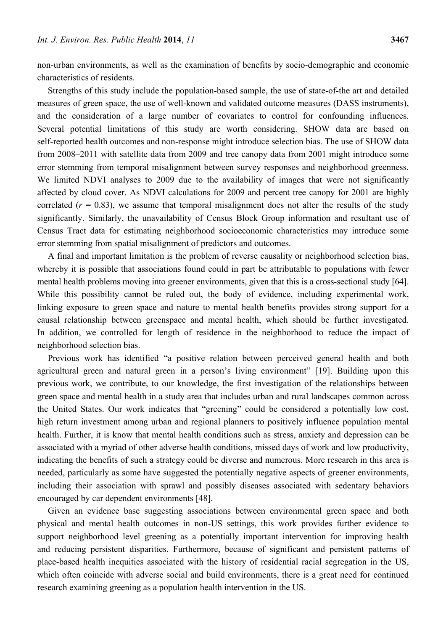non-urban environments, as well as the examination of benefits by socio-demographic and economic characteristics of residents.

Strengths of this study include the population-based sample, the use of state-of-the art and detailed measures of green space, the use of well-known and validated outcome measures (DASS instruments), and the consideration of a large number of covariates to control for confounding influences. Several potential limitations of this study are worth considering. SHOW data are based on self-reported health outcomes and non-response might introduce selection bias. The use of SHOW data from 2008–2011 with satellite data from 2009 and tree canopy data from 2001 might introduce some error stemming from temporal misalignment between survey responses and neighborhood greenness. We limited NDVI analyses to 2009 due to the availability of images that were not significantly affected by cloud cover. As NDVI calculations for 2009 and percent tree canopy for 2001 are highly correlated  $(r = 0.83)$ , we assume that temporal misalignment does not alter the results of the study significantly. Similarly, the unavailability of Census Block Group information and resultant use of Census Tract data for estimating neighborhood socioeconomic characteristics may introduce some error stemming from spatial misalignment of predictors and outcomes.

A final and important limitation is the problem of reverse causality or neighborhood selection bias, whereby it is possible that associations found could in part be attributable to populations with fewer mental health problems moving into greener environments, given that this is a cross-sectional study [64]. While this possibility cannot be ruled out, the body of evidence, including experimental work, linking exposure to green space and nature to mental health benefits provides strong support for a causal relationship between greenspace and mental health, which should be further investigated. In addition, we controlled for length of residence in the neighborhood to reduce the impact of neighborhood selection bias.

Previous work has identified "a positive relation between perceived general health and both agricultural green and natural green in a person's living environment" [19]. Building upon this previous work, we contribute, to our knowledge, the first investigation of the relationships between green space and mental health in a study area that includes urban and rural landscapes common across the United States. Our work indicates that "greening" could be considered a potentially low cost, high return investment among urban and regional planners to positively influence population mental health. Further, it is know that mental health conditions such as stress, anxiety and depression can be associated with a myriad of other adverse health conditions, missed days of work and low productivity, indicating the benefits of such a strategy could be diverse and numerous. More research in this area is needed, particularly as some have suggested the potentially negative aspects of greener environments, including their association with sprawl and possibly diseases associated with sedentary behaviors encouraged by car dependent environments [48].

Given an evidence base suggesting associations between environmental green space and both physical and mental health outcomes in non-US settings, this work provides further evidence to support neighborhood level greening as a potentially important intervention for improving health and reducing persistent disparities. Furthermore, because of significant and persistent patterns of place-based health inequities associated with the history of residential racial segregation in the US, which often coincide with adverse social and build environments, there is a great need for continued research examining greening as a population health intervention in the US.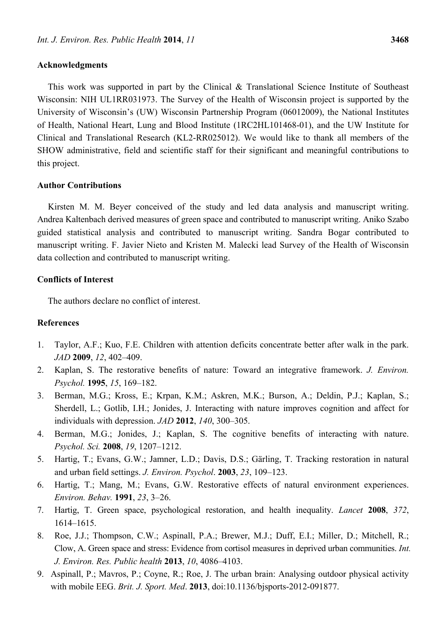This work was supported in part by the Clinical & Translational Science Institute of Southeast Wisconsin: NIH UL1RR031973. The Survey of the Health of Wisconsin project is supported by the University of Wisconsin's (UW) Wisconsin Partnership Program (06012009), the National Institutes of Health, National Heart, Lung and Blood Institute (1RC2HL101468-01), and the UW Institute for Clinical and Translational Research (KL2-RR025012). We would like to thank all members of the SHOW administrative, field and scientific staff for their significant and meaningful contributions to this project.

# **Author Contributions**

Kirsten M. M. Beyer conceived of the study and led data analysis and manuscript writing. Andrea Kaltenbach derived measures of green space and contributed to manuscript writing. Aniko Szabo guided statistical analysis and contributed to manuscript writing. Sandra Bogar contributed to manuscript writing. F. Javier Nieto and Kristen M. Malecki lead Survey of the Health of Wisconsin data collection and contributed to manuscript writing.

## **Conflicts of Interest**

The authors declare no conflict of interest.

# **References**

- 1. Taylor, A.F.; Kuo, F.E. Children with attention deficits concentrate better after walk in the park. *JAD* **2009**, *12*, 402–409.
- 2. Kaplan, S. The restorative benefits of nature: Toward an integrative framework. *J. Environ. Psychol.* **1995**, *15*, 169–182.
- 3. Berman, M.G.; Kross, E.; Krpan, K.M.; Askren, M.K.; Burson, A.; Deldin, P.J.; Kaplan, S.; Sherdell, L.; Gotlib, I.H.; Jonides, J. Interacting with nature improves cognition and affect for individuals with depression. *JAD* **2012**, *140*, 300–305.
- 4. Berman, M.G.; Jonides, J.; Kaplan, S. The cognitive benefits of interacting with nature. *Psychol. Sci.* **2008**, *19*, 1207–1212.
- 5. Hartig, T.; Evans, G.W.; Jamner, L.D.; Davis, D.S.; Gärling, T. Tracking restoration in natural and urban field settings. *J. Environ. Psychol*. **2003**, *23*, 109–123.
- 6. Hartig, T.; Mang, M.; Evans, G.W. Restorative effects of natural environment experiences. *Environ. Behav.* **1991**, *23*, 3–26.
- 7. Hartig, T. Green space, psychological restoration, and health inequality. *Lancet* **2008**, *372*, 1614–1615.
- 8. Roe, J.J.; Thompson, C.W.; Aspinall, P.A.; Brewer, M.J.; Duff, E.I.; Miller, D.; Mitchell, R.; Clow, A. Green space and stress: Evidence from cortisol measures in deprived urban communities. *Int. J. Environ. Res. Public health* **2013**, *10*, 4086–4103.
- 9. Aspinall, P.; Mavros, P.; Coyne, R.; Roe, J. The urban brain: Analysing outdoor physical activity with mobile EEG. *Brit. J. Sport. Med*. **2013**, doi:10.1136/bjsports-2012-091877.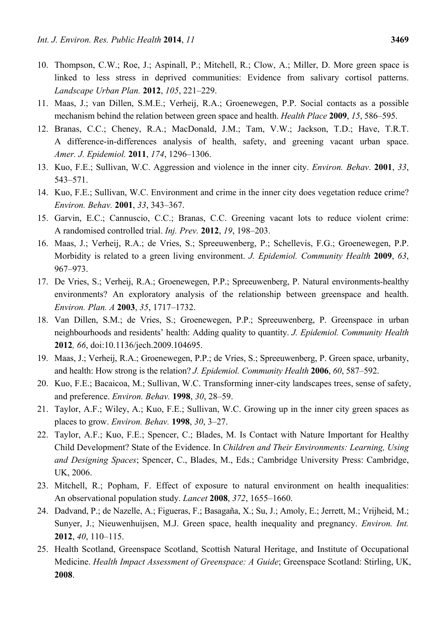- 10. Thompson, C.W.; Roe, J.; Aspinall, P.; Mitchell, R.; Clow, A.; Miller, D. More green space is linked to less stress in deprived communities: Evidence from salivary cortisol patterns. *Landscape Urban Plan.* **2012**, *105*, 221–229.
- 11. Maas, J.; van Dillen, S.M.E.; Verheij, R.A.; Groenewegen, P.P. Social contacts as a possible mechanism behind the relation between green space and health. *Health Place* **2009**, *15*, 586–595.
- 12. Branas, C.C.; Cheney, R.A.; MacDonald, J.M.; Tam, V.W.; Jackson, T.D.; Have, T.R.T. A difference-in-differences analysis of health, safety, and greening vacant urban space. *Amer. J. Epidemiol.* **2011**, *174*, 1296–1306.
- 13. Kuo, F.E.; Sullivan, W.C. Aggression and violence in the inner city. *Environ. Behav*. **2001**, *33*, 543–571.
- 14. Kuo, F.E.; Sullivan, W.C. Environment and crime in the inner city does vegetation reduce crime? *Environ. Behav.* **2001**, *33*, 343–367.
- 15. Garvin, E.C.; Cannuscio, C.C.; Branas, C.C. Greening vacant lots to reduce violent crime: A randomised controlled trial. *Inj. Prev.* **2012**, *19*, 198–203.
- 16. Maas, J.; Verheij, R.A.; de Vries, S.; Spreeuwenberg, P.; Schellevis, F.G.; Groenewegen, P.P. Morbidity is related to a green living environment. *J. Epidemiol. Community Health* **2009**, *63*, 967–973.
- 17. De Vries, S.; Verheij, R.A.; Groenewegen, P.P.; Spreeuwenberg, P. Natural environments-healthy environments? An exploratory analysis of the relationship between greenspace and health. *Environ. Plan. A* **2003**, *35*, 1717–1732.
- 18. Van Dillen, S.M.; de Vries, S.; Groenewegen, P.P.; Spreeuwenberg, P. Greenspace in urban neighbourhoods and residents' health: Adding quality to quantity. *J. Epidemiol. Community Health*  **2012***, 66*, doi:10.1136/jech.2009.104695.
- 19. Maas, J.; Verheij, R.A.; Groenewegen, P.P.; de Vries, S.; Spreeuwenberg, P. Green space, urbanity, and health: How strong is the relation? *J. Epidemiol. Community Health* **2006**, *60*, 587–592.
- 20. Kuo, F.E.; Bacaicoa, M.; Sullivan, W.C. Transforming inner-city landscapes trees, sense of safety, and preference. *Environ. Behav.* **1998**, *30*, 28–59.
- 21. Taylor, A.F.; Wiley, A.; Kuo, F.E.; Sullivan, W.C. Growing up in the inner city green spaces as places to grow. *Environ. Behav.* **1998**, *30*, 3–27.
- 22. Taylor, A.F.; Kuo, F.E.; Spencer, C.; Blades, M. Is Contact with Nature Important for Healthy Child Development? State of the Evidence. In *Children and Their Environments: Learning, Using and Designing Spaces*; Spencer, C., Blades, M., Eds.; Cambridge University Press: Cambridge, UK, 2006.
- 23. Mitchell, R.; Popham, F. Effect of exposure to natural environment on health inequalities: An observational population study. *Lancet* **2008**, *372*, 1655–1660.
- 24. Dadvand, P.; de Nazelle, A.; Figueras, F.; Basagaña, X.; Su, J.; Amoly, E.; Jerrett, M.; Vrijheid, M.; Sunyer, J.; Nieuwenhuijsen, M.J. Green space, health inequality and pregnancy. *Environ. Int.*  **2012**, *40*, 110–115.
- 25. Health Scotland, Greenspace Scotland, Scottish Natural Heritage, and Institute of Occupational Medicine. *Health Impact Assessment of Greenspace: A Guide*; Greenspace Scotland: Stirling, UK, **2008**.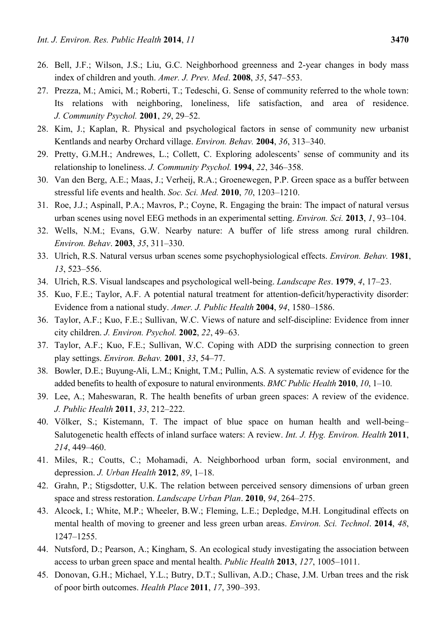- 26. Bell, J.F.; Wilson, J.S.; Liu, G.C. Neighborhood greenness and 2-year changes in body mass index of children and youth. *Amer. J. Prev. Med*. **2008**, *35*, 547–553.
- 27. Prezza, M.; Amici, M.; Roberti, T.; Tedeschi, G. Sense of community referred to the whole town: Its relations with neighboring, loneliness, life satisfaction, and area of residence. *J. Community Psychol.* **2001**, *29*, 29–52.
- 28. Kim, J.; Kaplan, R. Physical and psychological factors in sense of community new urbanist Kentlands and nearby Orchard village. *Environ. Behav.* **2004**, *36*, 313–340.
- 29. Pretty, G.M.H.; Andrewes, L.; Collett, C. Exploring adolescents' sense of community and its relationship to loneliness. *J. Community Psychol.* **1994**, *22*, 346–358.
- 30. Van den Berg, A.E.; Maas, J.; Verheij, R.A.; Groenewegen, P.P. Green space as a buffer between stressful life events and health. *Soc. Sci. Med.* **2010**, *70*, 1203–1210.
- 31. Roe, J.J.; Aspinall, P.A.; Mavros, P.; Coyne, R. Engaging the brain: The impact of natural versus urban scenes using novel EEG methods in an experimental setting. *Environ. Sci.* **2013**, *1*, 93–104.
- 32. Wells, N.M.; Evans, G.W. Nearby nature: A buffer of life stress among rural children. *Environ. Behav*. **2003**, *35*, 311–330.
- 33. Ulrich, R.S. Natural versus urban scenes some psychophysiological effects. *Environ. Behav.* **1981**, *13*, 523–556.
- 34. Ulrich, R.S. Visual landscapes and psychological well-being. *Landscape Res*. **1979**, *4*, 17–23.
- 35. Kuo, F.E.; Taylor, A.F. A potential natural treatment for attention-deficit/hyperactivity disorder: Evidence from a national study. *Amer. J. Public Health* **2004**, *94*, 1580–1586.
- 36. Taylor, A.F.; Kuo, F.E.; Sullivan, W.C. Views of nature and self-discipline: Evidence from inner city children. *J. Environ. Psychol.* **2002**, *22*, 49–63.
- 37. Taylor, A.F.; Kuo, F.E.; Sullivan, W.C. Coping with ADD the surprising connection to green play settings. *Environ. Behav.* **2001**, *33*, 54–77.
- 38. Bowler, D.E.; Buyung-Ali, L.M.; Knight, T.M.; Pullin, A.S. A systematic review of evidence for the added benefits to health of exposure to natural environments. *BMC Public Health* **2010**, *10*, 1–10.
- 39. Lee, A.; Maheswaran, R. The health benefits of urban green spaces: A review of the evidence. *J. Public Health* **2011**, *33*, 212–222.
- 40. Völker, S.; Kistemann, T. The impact of blue space on human health and well-being– Salutogenetic health effects of inland surface waters: A review. *Int. J. Hyg. Environ. Health* **2011**, *214*, 449–460.
- 41. Miles, R.; Coutts, C.; Mohamadi, A. Neighborhood urban form, social environment, and depression. *J. Urban Health* **2012**, *89*, 1–18.
- 42. Grahn, P.; Stigsdotter, U.K. The relation between perceived sensory dimensions of urban green space and stress restoration. *Landscape Urban Plan*. **2010**, *94*, 264–275.
- 43. Alcock, I.; White, M.P.; Wheeler, B.W.; Fleming, L.E.; Depledge, M.H. Longitudinal effects on mental health of moving to greener and less green urban areas. *Environ. Sci. Technol*. **2014**, *48*, 1247–1255.
- 44. Nutsford, D.; Pearson, A.; Kingham, S. An ecological study investigating the association between access to urban green space and mental health. *Public Health* **2013**, *127*, 1005–1011.
- 45. Donovan, G.H.; Michael, Y.L.; Butry, D.T.; Sullivan, A.D.; Chase, J.M. Urban trees and the risk of poor birth outcomes. *Health Place* **2011**, *17*, 390–393.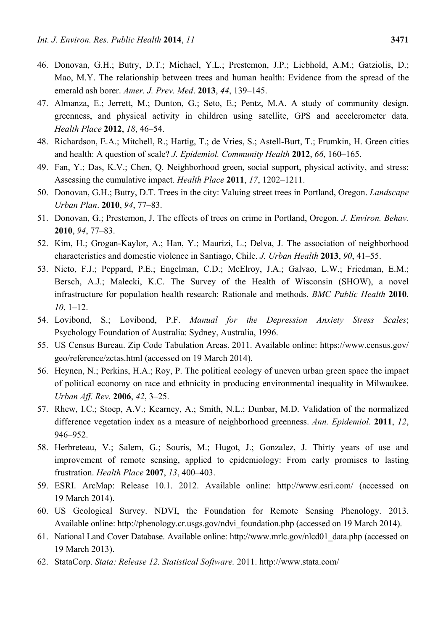- 46. Donovan, G.H.; Butry, D.T.; Michael, Y.L.; Prestemon, J.P.; Liebhold, A.M.; Gatziolis, D.; Mao, M.Y. The relationship between trees and human health: Evidence from the spread of the emerald ash borer. *Amer. J. Prev. Med*. **2013**, *44*, 139–145.
- 47. Almanza, E.; Jerrett, M.; Dunton, G.; Seto, E.; Pentz, M.A. A study of community design, greenness, and physical activity in children using satellite, GPS and accelerometer data. *Health Place* **2012**, *18*, 46–54.
- 48. Richardson, E.A.; Mitchell, R.; Hartig, T.; de Vries, S.; Astell-Burt, T.; Frumkin, H. Green cities and health: A question of scale? *J. Epidemiol. Community Health* **2012**, *66*, 160–165.
- 49. Fan, Y.; Das, K.V.; Chen, Q. Neighborhood green, social support, physical activity, and stress: Assessing the cumulative impact. *Health Place* **2011**, *17*, 1202–1211.
- 50. Donovan, G.H.; Butry, D.T. Trees in the city: Valuing street trees in Portland, Oregon. *Landscape Urban Plan*. **2010**, *94*, 77–83.
- 51. Donovan, G.; Prestemon, J. The effects of trees on crime in Portland, Oregon. *J. Environ. Behav.*  **2010**, *94*, 77–83.
- 52. Kim, H.; Grogan-Kaylor, A.; Han, Y.; Maurizi, L.; Delva, J. The association of neighborhood characteristics and domestic violence in Santiago, Chile. *J. Urban Health* **2013**, *90*, 41–55.
- 53. Nieto, F.J.; Peppard, P.E.; Engelman, C.D.; McElroy, J.A.; Galvao, L.W.; Friedman, E.M.; Bersch, A.J.; Malecki, K.C. The Survey of the Health of Wisconsin (SHOW), a novel infrastructure for population health research: Rationale and methods. *BMC Public Health* **2010**, *10*, 1–12.
- 54. Lovibond, S.; Lovibond, P.F. *Manual for the Depression Anxiety Stress Scales*; Psychology Foundation of Australia: Sydney, Australia, 1996.
- 55. US Census Bureau. Zip Code Tabulation Areas. 2011. Available online: https://www.census.gov/ geo/reference/zctas.html (accessed on 19 March 2014).
- 56. Heynen, N.; Perkins, H.A.; Roy, P. The political ecology of uneven urban green space the impact of political economy on race and ethnicity in producing environmental inequality in Milwaukee. *Urban Aff. Rev*. **2006**, *42*, 3–25.
- 57. Rhew, I.C.; Stoep, A.V.; Kearney, A.; Smith, N.L.; Dunbar, M.D. Validation of the normalized difference vegetation index as a measure of neighborhood greenness. *Ann. Epidemiol*. **2011**, *12*, 946–952.
- 58. Herbreteau, V.; Salem, G.; Souris, M.; Hugot, J.; Gonzalez, J. Thirty years of use and improvement of remote sensing, applied to epidemiology: From early promises to lasting frustration. *Health Place* **2007**, *13*, 400–403.
- 59. ESRI. ArcMap: Release 10.1. 2012. Available online: http://www.esri.com/ (accessed on 19 March 2014).
- 60. US Geological Survey. NDVI, the Foundation for Remote Sensing Phenology. 2013. Available online: http://phenology.cr.usgs.gov/ndvi\_foundation.php (accessed on 19 March 2014).
- 61. National Land Cover Database. Available online: http://www.mrlc.gov/nlcd01\_data.php (accessed on 19 March 2013).
- 62. StataCorp. *Stata: Release 12. Statistical Software.* 2011. http://www.stata.com/